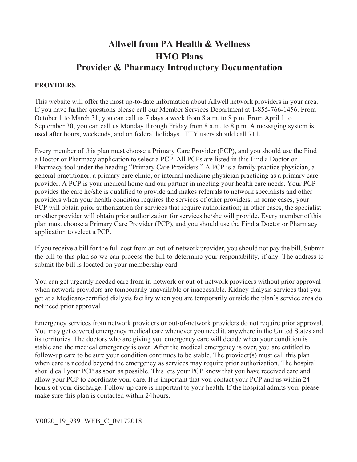# **Allwell from PA Health & Wellness HMO Plans Provider & Pharmacy Introductory Documentation**

#### **PROVIDERS**

 October 1 to March 31, you can call us 7 days a week from 8 a.m. to 8 p.m. From April 1 to September 30, you can call us Monday through Friday from 8 a.m. to 8 p.m. A messaging system is This website will offer the most up-to-date information about Allwell network providers in your area. If you have further questions please call our Member Services Department at 1-855-766-1456. From used after hours, weekends, and on federal holidays. TTY users should call 711.

 plan must choose a Primary Care Provider (PCP), and you should use the Find a Doctor or Pharmacy Every member of this plan must choose a Primary Care Provider (PCP), and you should use the Find a Doctor or Pharmacy application to select a PCP. All PCPs are listed in this Find a Doctor or Pharmacy tool under the heading "Primary Care Providers." A PCP is a family practice physician, a general practitioner, a primary care clinic, or internal medicine physician practicing as a primary care provider. A PCP is your medical home and our partner in meeting your health care needs. Your PCP provides the care he/she is qualified to provide and makes referrals to network specialists and other providers when your health condition requires the services of other providers. In some cases, your PCP will obtain prior authorization for services that require authorization; in other cases, the specialist or other provider will obtain prior authorization for services he/she will provide. Every member of this application to select a PCP.

 the bill to this plan so we can process the bill to determine your responsibility, if any. The address to If you receive a bill for the full cost from an out-of-network provider, you should not pay the bill. Submit submit the bill is located on your membership card.

 get at a Medicare-certified dialysis facility when you are temporarily outside the plan's service area do You can get urgently needed care from in-network or out-of-network providers without prior approval when network providers are temporarily unavailable or inaccessible. Kidney dialysis services that you not need prior approval.

 make sure this plan is contacted within 24hours. Emergency services from network providers or out-of-network providers do not require prior approval. You may get covered emergency medical care whenever you need it, anywhere in the United States and its territories. The doctors who are giving you emergency care will decide when your condition is stable and the medical emergency is over. After the medical emergency is over, you are entitled to follow-up care to be sure your condition continues to be stable. The provider(s) must call this plan when care is needed beyond the emergency as services may require prior authorization. The hospital should call your PCP as soon as possible. This lets your PCP know that you have received care and allow your PCP to coordinate your care. It is important that you contact your PCP and us within 24 hours of your discharge. Follow-up care is important to your health. If the hospital admits you, please

#### Y0020\_19\_9391WEB\_C\_09172018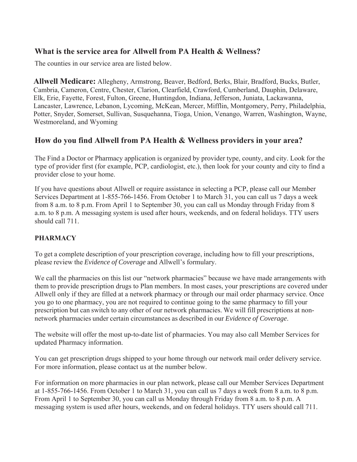## **What is the service area for Allwell from PA Health & Wellness?**

The counties in our service area are listed below.

**Allwell Medicare:** Allegheny, Armstrong, Beaver, Bedford, Berks, Blair, Bradford, Bucks, Butler, Cambria, Cameron, Centre, Chester, Clarion, Clearfield, Crawford, Cumberland, Dauphin, Delaware, Elk, Erie, Fayette, Forest, Fulton, Greene, Huntingdon, Indiana, Jefferson, Juniata, Lackawanna, Lancaster, Lawrence, Lebanon, Lycoming, McKean, Mercer, Mifflin, Montgomery, Perry, Philadelphia, Potter, Snyder, Somerset, Sullivan, Susquehanna, Tioga, Union, Venango, Warren, Washington, Wayne, Westmoreland, and Wyoming

## **How do you find Allwell from PA Health & Wellness providers in your area?**

The Find a Doctor or Pharmacy application is organized by provider type, county, and city. Look for the type of provider first (for example, PCP, cardiologist, etc.), then look for your county and city to find a provider close to your home.

If you have questions about Allwell or require assistance in selecting a PCP, please call our Member Services Department at 1-855-766-1456. From October 1 to March 31, you can call us 7 days a week from 8 a.m. to 8 p.m. From April 1 to September 30, you can call us Monday through Friday from 8 a.m. to 8 p.m. A messaging system is used after hours, weekends, and on federal holidays. TTY users should call 711.

### **PHARMACY**

To get a complete description of your prescription coverage, including how to fill your prescriptions, please review the *Evidence of Coverage* and Allwell's formulary.

We call the pharmacies on this list our "network pharmacies" because we have made arrangements with them to provide prescription drugs to Plan members. In most cases, your prescriptions are covered under Allwell only if they are filled at a network pharmacy or through our mail order pharmacy service. Once you go to one pharmacy, you are not required to continue going to the same pharmacy to fill your prescription but can switch to any other of our network pharmacies. We will fill prescriptions at nonnetwork pharmacies under certain circumstances as described in our *Evidence of Coverage*.

The website will offer the most up-to-date list of pharmacies. You may also call Member Services for updated Pharmacy information.

You can get prescription drugs shipped to your home through our network mail order delivery service. For more information, please contact us at the number below.

For information on more pharmacies in our plan network, please call our Member Services Department at 1-855-766-1456. From October 1 to March 31, you can call us 7 days a week from 8 a.m. to 8 p.m. From April 1 to September 30, you can call us Monday through Friday from 8 a.m. to 8 p.m. A messaging system is used after hours, weekends, and on federal holidays. TTY users should call 711.